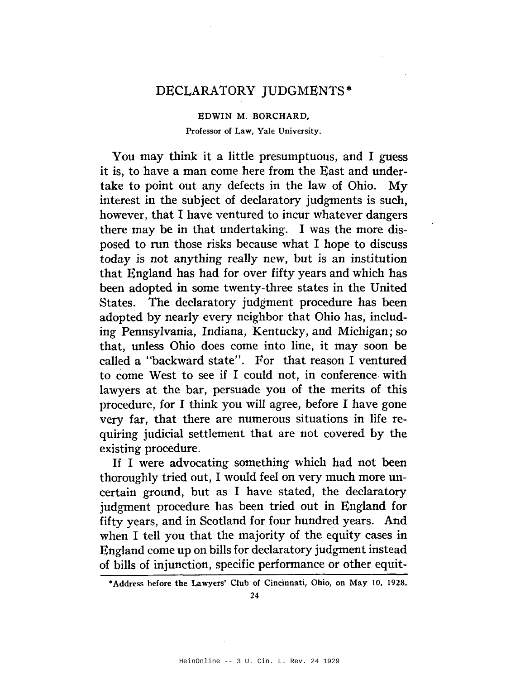## DECLARATORY JUDGMENTS\*

EDWIN M. BORCHARD, Professor of Law, Yale University.

You may think it a little presumptuous, and I guess it is, to have a man come here from the East and undertake to point out any defects in the law of Ohio. My interest in the subject of declaratory judgments is such, however, that I have ventured to incur whatever dangers there may be in that undertaking. I was the more disposed to run those risks because what I hope to discuss today is not anything really new, but is an institution that England has had for over fifty years and which has been adopted in some twenty-three states in the United States. The declaratory judgment procedure has been adopted by nearly every neighbor that Ohio has, including Pennsylvania, Indiana, Kentucky, and Michigan; so that, unless Ohio does come into line, it may soon be called a "backward state". For that reason I ventured to come West to see if I could not, in conference with lawyers at the bar, persuade you of the merits of this procedure, for I think you will agree, before I have gone very far, that there are numerous situations in life requiring judicial settlement that are not covered by the existing procedure.

If I were advocating something which had not been thoroughly tried out, I would feel on very much more uncertain ground, but as I have stated, the declaratory judgment procedure has been tried out in England for fifty years, and in Scotland for four hundred years. And when I tell you that the majority of the equity cases in England come up on bills for declaratory judgment instead of bills of injunction, specific performance or other equit-

<sup>•</sup>Address before the Lawyers' Club of Cincinnati, Ohio, on May 10, 1928.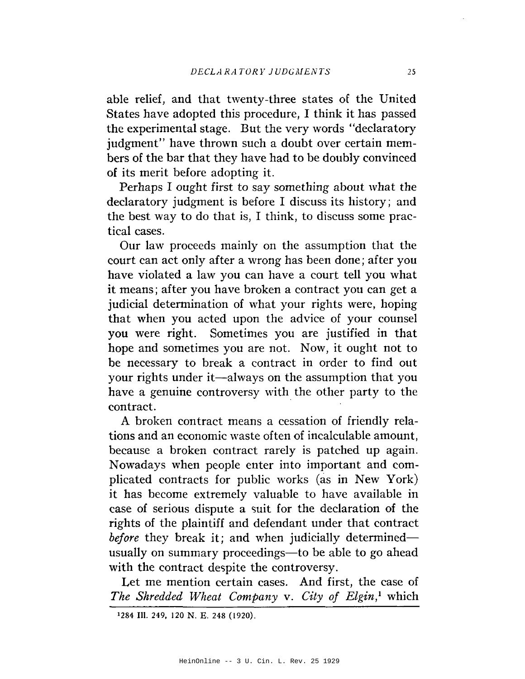able relief, and that twenty-three states of the United States have adopted this procedure, I think it has passed the experimental stage. But the very words "declaratory judgment" have thrown such a doubt over certain members of the bar that they have had to be doubly convinced of its merit before adopting it.

Perhaps I ought first to say something about what the declaratory judgment is before I discuss its history; and the best way to do that is, I think, to discuss some practical cases.

Our law proceeds mainly on the assumption that the court can act only after a wrong has been done; after you have violated a law you can have a court tell you what it means; after you have broken a contract you can get a judicial detennination of what your rights were, hoping that when you acted upon the advice of your counsel you were right. Sometimes you are justified in that hope and sometimes you are not. Now, it ought not to be necessary to break a contract in order to find out your rights under it-always on the assumption that you have a genuine controversy with the other party to the contract.

A broken contract means a cessation of friendly relations and an economic waste often of incalculable amount, because a broken contract rarely is patched up again. Nowadays when people enter into important and complicated contracts for public works (as in New York) it has become extremely valuable to have available in case of serious dispute a suit for the declaration of the rights of the plaintiff and defendant under that contract *before* they break it; and when judicially determined usually on summary proceedings—to be able to go ahead with the contract despite the controversy.

Let me mention certain cases. And first, the case of *The Shredded Wheat Company* v. *City of Elgin,!* which

<sup>1284</sup> Ill. 249, 120 N. E. 248 (1920).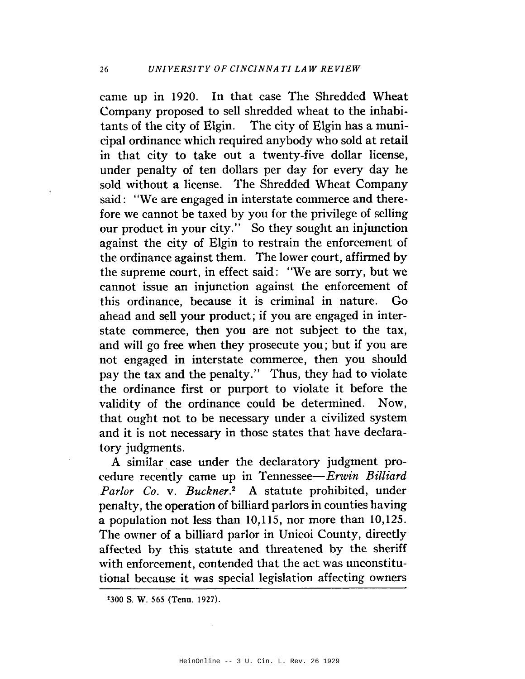came up in 1920. In that case The Shredded Wheat Company proposed to sell shredded wheat to the inhabitants of the city of Elgin. The city of Elgin has a municipal ordinance which required anybody who sold at retail in that city to take out a twenty-five dollar license, under penalty of ten dollars per day for every day he sold without a license. The Shredded Wheat Company said: "We are engaged in interstate commerce and therefore we cannot be taxed by you for the privilege of selling our product in your city." So they sought an injunction against the city of Elgin to restrain the enforcement of the ordinance against them. The lower court, affirmed by the supreme court, in effect said: "We are sorry, but we cannot issue an injunction against the enforcement of this ordinance, because it is criminal in nature.  $Go$ ahead and sell your product; if you are engaged in interstate commerce, then you are not subject to the tax, and will go free when they prosecute you; but if you are not engaged in interstate commerce, then you should pay the tax and the penalty." Thus, they had to violate the ordinance first or purport to violate it before the validity of the ordinance could be determined. Now. that ought not to be necessary under a civilized system and it is not necessary in those states that have declaratory judgments.

A similar case under the declaratory judgment procedure recently came up in Tennessee-Erwin Billiard Parlor Co. v. Buckner.<sup>2</sup> A statute prohibited, under penalty, the operation of billiard parlors in counties having a population not less than  $10,115$ , nor more than  $10,125$ . The owner of a billiard parlor in Unicoi County, directly affected by this statute and threatened by the sheriff with enforcement, contended that the act was unconstitutional because it was special legislation affecting owners

<sup>2300</sup> S. W. 565 (Tenn. 1927).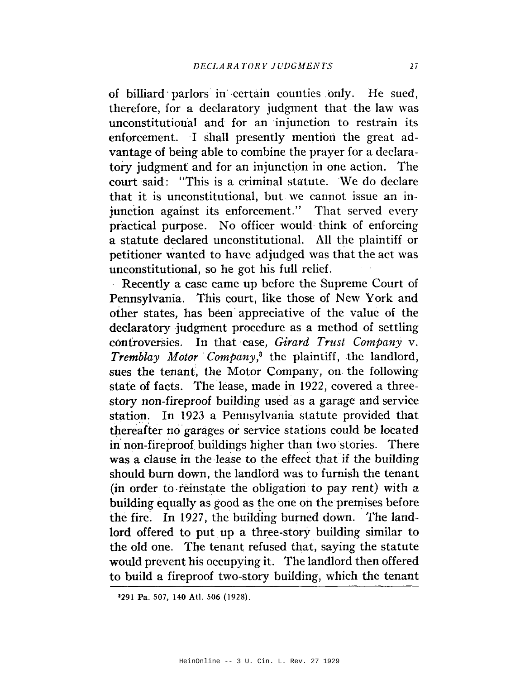of billiard parlors in certain counties only. He sued, therefore, for a declaratory judgment that the law was unconstitutional and for an injunction to restrain its enforcement. I shall presently mention the great advantage of being able to combine the prayer for a declaratory judgment and for an injunction in one action. The court said: "This is a criminal statute. We do declare that it is unconstitutional, but we cannot issue an injunction against its enforcement." That served every practical purpose. No officer would think of enforcing a statute declared unconstitutional. All the plaintiff or petitioner wanted to have adjudged was that the act was unconstitutional, so he got his full relief.

Recently a case came up before the Supreme Court of Pennsylvania. This court, like those of New York and other states, has been appreciative of the value of the declaratory judgment procedure as a method of settling controversies. In that case, Girard Trust Company v. Tremblay Motor Company,<sup>3</sup> the plaintiff, the landlord, sues the tenant, the Motor Company, on the following state of facts. The lease, made in 1922, covered a threestory non-fireproof building used as a garage and service station. In 1923 a Pennsylvania statute provided that thereafter no garages or service stations could be located in non-fireproof buildings higher than two stories. There was a clause in the lease to the effect that if the building should burn down, the landlord was to furnish the tenant (in order to reinstate the obligation to pay rent) with a building equally as good as the one on the premises before the fire. In 1927, the building burned down. The landlord offered to put up a three-story building similar to the old one. The tenant refused that, saying the statute would prevent his occupying it. The landlord then offered to build a fireproof two-story building, which the tenant

<sup>\*291</sup> Pa. 507, 140 Atl. 506 (1928).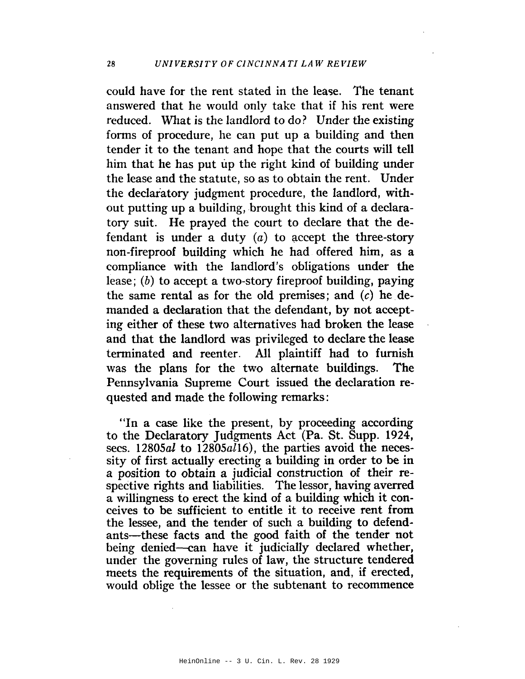could have for the rent stated in the lease. The tenant answered that he would only take that if his rent were reduced. What is the landlord to do? Under the existing forms of procedure, he can put up a building and then tender it to the tenant and hope that the courts will tell him that he has put up the right kind of building under the lease and the statute, so as to obtain the rent. Under the declaratory judgment procedure, the landlord, without putting up a building, brought this kind of a declaratory suit. He prayed the court to declare that the defendant is under a duty  $(a)$  to accept the three-story non-fireproof building which he had offered him, as a compliance with the landlord's obligations under the lease;  $(b)$  to accept a two-story fireproof building, paying the same rental as for the old premises; and  $(c)$  he demanded a declaration that the defendant, by not accepting either of these two alternatives had broken the lease and that the landlord was privileged to declare the lease terminated and reenter. All plaintiff had to furnish was the plans for the two alternate buildings. **The** Pennsylvania Supreme Court issued the declaration requested and made the following remarks:

"In a case like the present, by proceeding according to the Declaratory Judgments Act (Pa. St. Supp. 1924, secs. 12805al to 12805al16), the parties avoid the necessity of first actually erecting a building in order to be in a position to obtain a judicial construction of their respective rights and liabilities. The lessor, having averred a willingness to erect the kind of a building which it conceives to be sufficient to entitle it to receive rent from the lessee, and the tender of such a building to defendants—these facts and the good faith of the tender not being denied-can have it judicially declared whether, under the governing rules of law, the structure tendered meets the requirements of the situation, and, if erected, would oblige the lessee or the subtenant to recommence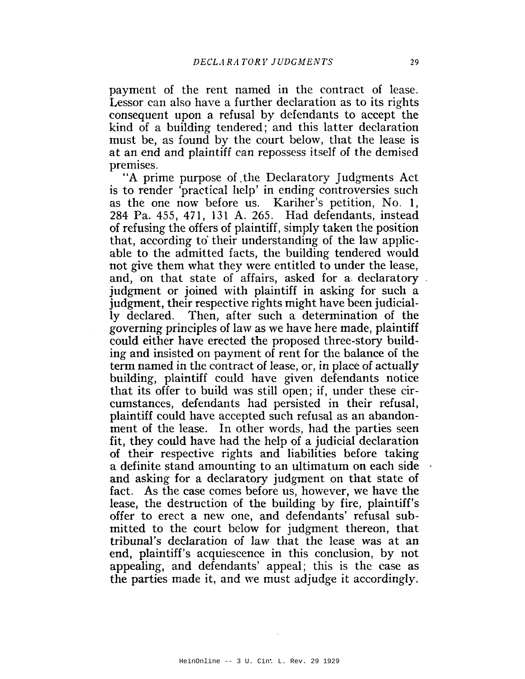payment of the rent named in the contract of lease. Lessor can also have a further declaration as to its rights consequent upon a refusal by defendants to accept the kind of a building tendered; and this latter declaration must be, as found by the court below, that the lease is at an end and plaintiff can repossess itself of the demised premises.

"A prime purpose of the Declaratory Judgments Act is to render 'practical help' in ending controversies such as the one now before us. Kariher's petition, No. 1, 284 Pa. 455, 471, 131 A. 265. Had defendants, instead of refusing the offers of plaintiff, simply taken the position that, according to their understanding of the law applicable to the admitted facts, the building tendered would not give them what they were entitled to under the lease. and, on that state of affairs, asked for a declaratory judgment or joined with plaintiff in asking for such a judgment, their respective rights might have been judicially declared. Then, after such a determination of the governing principles of law as we have here made, plaintiff could either have erected the proposed three-story building and insisted on payment of rent for the balance of the term named in the contract of lease, or, in place of actually building, plaintiff could have given defendants notice that its offer to build was still open; if, under these circumstances, defendants had persisted in their refusal, plaintiff could have accepted such refusal as an abandonment of the lease. In other words, had the parties seen fit, they could have had the help of a judicial declaration of their respective rights and liabilities before taking a definite stand amounting to an ultimatum on each side and asking for a declaratory judgment on that state of fact. As the case comes before us, however, we have the lease, the destruction of the building by fire, plaintiff's offer to erect a new one, and defendants' refusal submitted to the court below for judgment thereon, that tribunal's declaration of law that the lease was at an end, plaintiff's acquiescence in this conclusion, by not appealing, and defendants' appeal; this is the case as the parties made it, and we must adjudge it accordingly.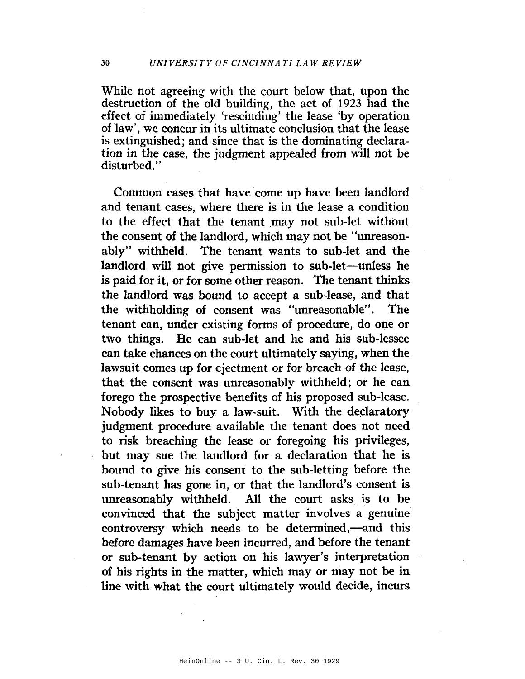While not agreeing with the court below that, upon the destruction of the old building, the act of 1923 had the effect of immediately 'rescinding' the lease 'by operation of law', we concur in its ultimate conclusion that the lease is extinguished; and since that is the dominating declaration in the case, the judgment appealed from will not be disturbed."

Common cases that have come up have been landlord and tenant cases, where there is in the lease a condition to the effect that the tenant may not sub-let without the consent of the landlord, which may not be "unreasonably" withheld. The tenant wants to sub-let and the landlord will not give permission to sub-let-unless he is paid for it, or for some other reason. The tenant thinks the landlord was bound to accept a sub-lease, and that the withholding of consent was "unreasonable". The tenant can, under existing forms of procedure, do one or two things. He can sub-let and he and his sub-lessee can take chances on the court ultimately saying, when the lawsuit comes up for ejectment or for breach of the lease, that the consent was unreasonably withheld; or he can forego the prospective benefits of his proposed sub-lease. Nobody likes to buy a law-suit. With the declaratory judgment procedure available the tenant does not need to risk breaching the lease or foregoing his privileges. but may sue the landlord for a declaration that he is bound to give his consent to the sub-letting before the sub-tenant has gone in, or that the landlord's consent is unreasonably withheld. All the court asks is to be convinced that the subject matter involves a genuine controversy which needs to be determined,—and this before damages have been incurred, and before the tenant or sub-tenant by action on his lawyer's interpretation of his rights in the matter, which may or may not be in line with what the court ultimately would decide, incurs

30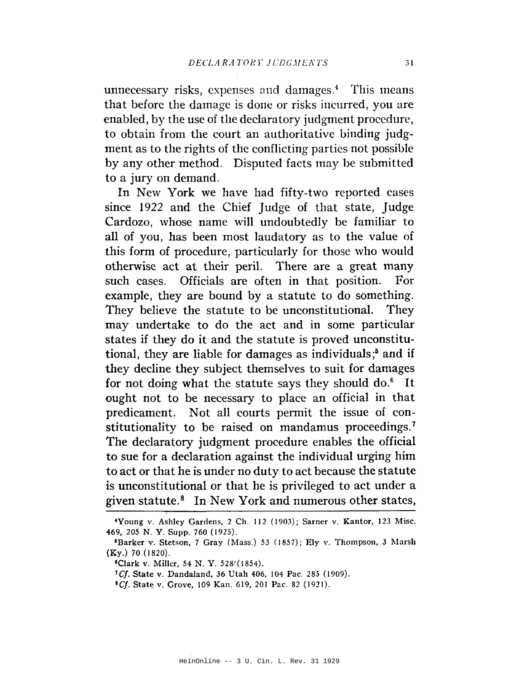unnecessary risks, expenses and damages.<sup>4</sup> This means that before the damage is done or risks incurred, you are enabled, by the use of the declaratory judgment procedure, to obtain from the court an authoritative binding judgment as to the rights of the conflicting parties not possible by any other method. Disputed facts may be submitted to a jury on demand.

In New York we have had fifty-two reported cases since 1922 and the Chief Judge of that state, Judge Cardozo, whose name will undoubtedly be familiar to all of you, has been most laudatory as to the value of this form of procedure, particularly for those who would otherwise act at their peril. There are a great many such cases. Officials are often in that position. For example, they are bound by a statute to do something. They believe the statute to be unconstitutional. They may undertake to do the act and in some particular states if they do it and the statute is proved unconstitutional, they are liable for damages as individuals;<sup>5</sup> and if they decline they subject themselves to suit for damages for not doing what the statute says they should do.<sup>6</sup> It ought not to be necessary to place an official in that predicament. Not all courts permit the issue of constitutionality to be raised on mandamus proceedings.<sup>7</sup> The declaratory judgment procedure enables the official to sue for a declaration against the individual urging him to act or that he is under no duty to act because the statute is unconstitutional or that he is privileged to act under a given statute.<sup>8</sup> In New York and numerous other states,

<sup>8</sup>Cf. State v. Grove, 109 Kan. 619, 201 Pac. 82 (1921).

<sup>&#</sup>x27;Young v. Ashley Gardens, 2 Ch. 112 (1903); Sarner v. Kantor, 123 Misc. 469, 205 N.Y. Supp. 760 (1925).

<sup>&</sup>lt;sup>5</sup>Barker v. Stetson, 7 Gray (Mass.) 53 (1857); Ely v. Thompson, 3 Marsh  $(Ky.) 70 (1820).$ 

<sup>&</sup>lt;sup>6</sup>Clark v. Miller, 54 N. Y. 528<sup>2</sup> (1854).

<sup>&</sup>lt;sup>7</sup>Cf. State v. Dandaland, 36 Utah 406, 104 Pac. 285 (1909).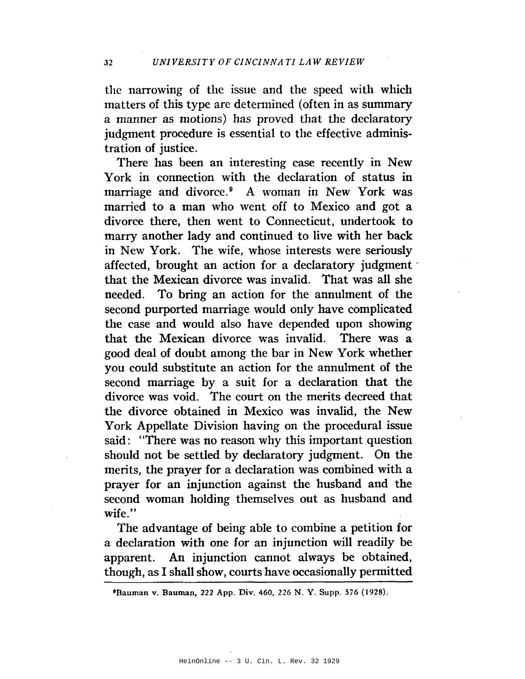the narrowing of the issue and the speed with which matters of this type are determined (often in as summary a manner as motions) has proved that the declaratory judgment procedure is essential to the effective administration of justice.

There has been an interesting case recently in New York in connection with the declaration of status in marriage and divorce.<sup>9</sup> A woman in New York was married to a man who went off to Mexico and got a divorce there, then went to Connecticut, undertook to marry another lady and continued to live with her back in New York. The wife, whose interests were seriously affected, brought an action for a declaratory judgment that the Mexican divorce was invalid. That was all she To bring an action for the annulment of the needed. second purported marriage would only have complicated the case and would also have depended upon showing that the Mexican divorce was invalid. There was a good deal of doubt among the bar in New York whether you could substitute an action for the annulment of the second marriage by a suit for a declaration that the divorce was void. The court on the merits decreed that the divorce obtained in Mexico was invalid, the New York Appellate Division having on the procedural issue said: "There was no reason why this important question should not be settled by declaratory judgment. On the merits, the prayer for a declaration was combined with a prayer for an injunction against the husband and the second woman holding themselves out as husband and wife."

The advantage of being able to combine a petition for a declaration with one for an injunction will readily be An injunction cannot always be obtained, apparent. though, as I shall show, courts have occasionally permitted

<sup>&</sup>lt;sup>9</sup>Bauman v. Bauman, 222 App. Div. 460, 226 N. Y. Supp. 576 (1928).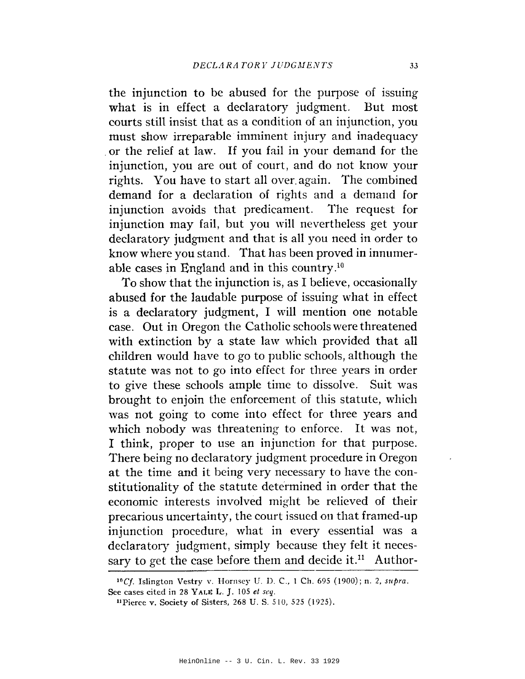the injunction to be abused for the purpose of issuing what is in effect a declaratory judgment. But most courts still insist that as a condition of an injunction, you must show irreparable imminent injury and inadequacy or the relief at law. If you fail in your demand for the injunction, you are out of court, and do not know your rights. You have to start all over again. The combined demand for a declaration of rights and a demand for injunction avoids that predicament. The request for injunction may fail, but you will nevertheless get your declaratory judgment and that is all you need in order to know where you stand. That has been proved in innumerable cases in England and in this country.<sup>10</sup>

To show that the injunction is, as I believe, occasionally abused for the laudable purpose of issuing what in effect is a declaratory judgment, I will mention one notable case. Out in Oregon the Catholic schools were threatened with extinction by a state law which provided that all children would have to go to public schools, although the statute was not to go into effect for three years in order to give these schools ample time to dissolve. Suit was brought to enjoin the enforcement of this statute, which was not going to come into effect for three years and which nobody was threatening to enforce. It was not, I think, proper to use an injunction for that purpose. There being no declaratory judgment procedure in Oregon at the time and it being very necessary to have the constitutionality of the statute determined in order that the economic interests involved might be relieved of their precarious uncertainty, the court issued on that framed-up injunction procedure, what in every essential was a declaratory judgment, simply because they felt it necessary to get the case before them and decide it.<sup>11</sup> Author-

<sup>&</sup>lt;sup>10</sup>Cf. Islington Vestry v. Hornsey U. D. C., 1 Ch. 695 (1900); n. 2, supra. See cases cited in 28 YALE L. J. 105 et seq.

<sup>&</sup>lt;sup>11</sup>Pierce v. Society of Sisters, 268 U. S. 510, 525 (1925).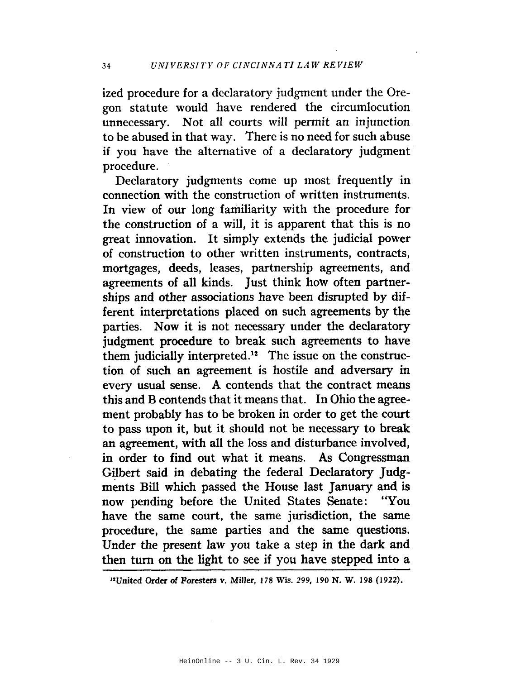ized procedure for a declaratory judgment under the Oregon statute would have rendered the circumlocution unnecessary. Not all courts will permit an injunction to be abused in that way. There is no need for such abuse if you have the alternative of a declaratory judgment procedure.

Declaratory judgments come up most frequently in connection with the construction of written instruments. In view of our long familiarity with the procedure for the construction of a will, it is apparent that this is no great innovation. It simply extends the judicial power of construction to other written instruments, contracts, mortgages, deeds, leases, partnership agreements, and agreements of all kinds. Just think how often partnerships and other associations have been disrupted by different interpretations placed on such agreements by the parties. Now it is not necessary under the declaratory judgment procedure to break such agreements to have them judicially interpreted.<sup>12</sup> The issue on the construction of such an agreement is hostile and adversary in every usual sense. A contends that the contract means this and B contends that it means that. In Ohio the agreement probably has to be broken in order to get the court to pass upon it, but it should not be necessary to break an agreement, with all the loss and disturbance involved, in order to find out what it means. As Congressman Gilbert said in debating the federal Declaratory Judgments Bill which passed the House last January and is now pending before the United States Senate: "You have the same court, the same jurisdiction, the same procedure, the same parties and the same questions. Under the present law you take a step in the dark and then turn on the light to see if you have stepped into a

<sup>12</sup>United Order of Foresters v. Miller, 178 Wis. 299, 190 N. W. 198 (1922).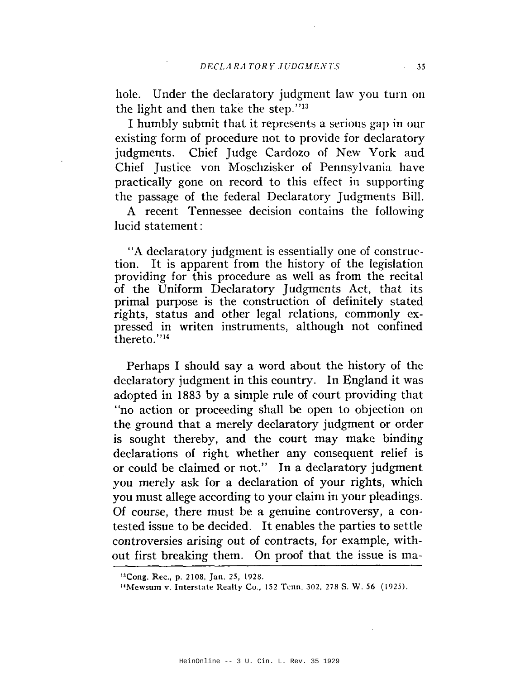hole. Under the declaratory judgment law you turn on the light and then take the step."13

I humbly submit that it represents a serious gap in our existing form of procedure not to provide for declaratory judgments. Chief Judge Cardozo of New York and Chief Justice von Moschzisker of Pennsylvania have practically gone on record to this effect in supporting the passage of the federal Declaratory Judgments Bill.

A recent Tennessee decision contains the following lucid statement:

"A declaratory judgment is essentially one of construction. It is apparent from the history of the legislation providing for this procedure as well as from the recital of the Uniform Declaratory Judgments Act, that its primal purpose is the construction of definitely stated rights, status and other legal relations, commonly expressed in writen instruments, although not confined thereto."<sup>14</sup>

Perhaps I should say a word about the history of the declaratory judgment in this country. In England it was adopted in 1883 by a simple rule of court providing that "no action or proceeding shall be open to objection on the ground that a merely declaratory judgment or order is sought thereby, and the court may make binding declarations of right whether any consequent relief is or could be claimed or not." In a declaratory judgment you merely ask for a declaration of your rights, which you must allege according to your claim in your pleadings. Of course, there must be a genuine controversy, a contested issue to be decided. It enables the parties to settle controversies arising out of contracts, for example, without first breaking them. On proof that the issue is ma-

<sup>&</sup>lt;sup>13</sup>Cong. Rec., p. 2108, Jan. 25, 1928.

<sup>&</sup>lt;sup>14</sup>Mewsum v. Interstate Realty Co., 152 Tenn. 302, 278 S. W. 56 (1925).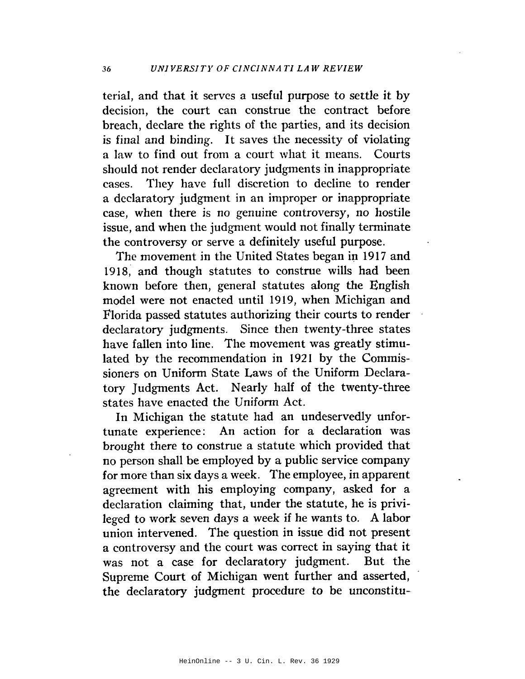terial, and that it serves a useful purpose to settle it by decision, the court can construe the contract before breach, declare the rights of the parties, and its decision is final and binding. It saves the necessity of violating a law to find out from a court what it means. Courts should not render declaratory judgments in inappropriate They have full discretion to decline to render cases. a declaratory judgment in an improper or inappropriate case, when there is no genuine controversy, no hostile issue, and when the judgment would not finally terminate the controversy or serve a definitely useful purpose.

The movement in the United States began in 1917 and 1918, and though statutes to construe wills had been known before then, general statutes along the English model were not enacted until 1919, when Michigan and Florida passed statutes authorizing their courts to render declaratory judgments. Since then twenty-three states have fallen into line. The movement was greatly stimulated by the recommendation in 1921 by the Commissioners on Uniform State Laws of the Uniform Declaratory Judgments Act. Nearly half of the twenty-three states have enacted the Uniform Act.

In Michigan the statute had an undeservedly unfortunate experience: An action for a declaration was brought there to construe a statute which provided that no person shall be employed by a public service company for more than six days a week. The employee, in apparent agreement with his employing company, asked for a declaration claiming that, under the statute, he is privileged to work seven days a week if he wants to. A labor union intervened. The question in issue did not present a controversy and the court was correct in saying that it was not a case for declaratory judgment. But the Supreme Court of Michigan went further and asserted, the declaratory judgment procedure to be unconstitu-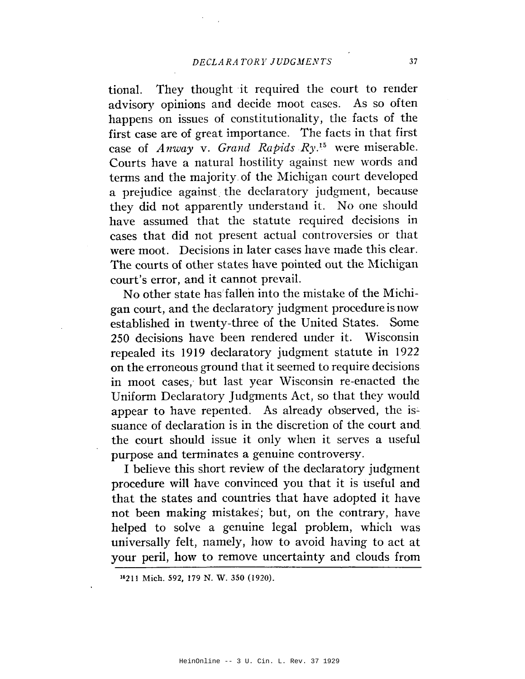They thought it required the court to render tional. advisory opinions and decide moot cases. As so often happens on issues of constitutionality, the facts of the first case are of great importance. The facts in that first case of Anway v. Grand Rapids  $R y$ .<sup>15</sup> were miserable. Courts have a natural hostility against new words and terms and the majority of the Michigan court developed a prejudice against the declaratory judgment, because they did not apparently understand it. No one should have assumed that the statute required decisions in cases that did not present actual controversies or that were moot. Decisions in later cases have made this clear. The courts of other states have pointed out the Michigan court's error, and it cannot prevail.

No other state has fallen into the mistake of the Michigan court, and the declaratory judgment procedure is now established in twenty-three of the United States. Some 250 decisions have been rendered under it. Wisconsin repealed its 1919 declaratory judgment statute in 1922 on the erroneous ground that it seemed to require decisions in moot cases, but last year Wisconsin re-enacted the Uniform Declaratory Judgments Act, so that they would appear to have repented. As already observed, the issuance of declaration is in the discretion of the court and the court should issue it only when it serves a useful purpose and terminates a genuine controversy.

I believe this short review of the declaratory judgment procedure will have convinced you that it is useful and that the states and countries that have adopted it have not been making mistakes; but, on the contrary, have helped to solve a genuine legal problem, which was universally felt, namely, how to avoid having to act at your peril, how to remove uncertainty and clouds from

<sup>&</sup>lt;sup>15</sup>211 Mich. 592, 179 N. W. 350 (1920).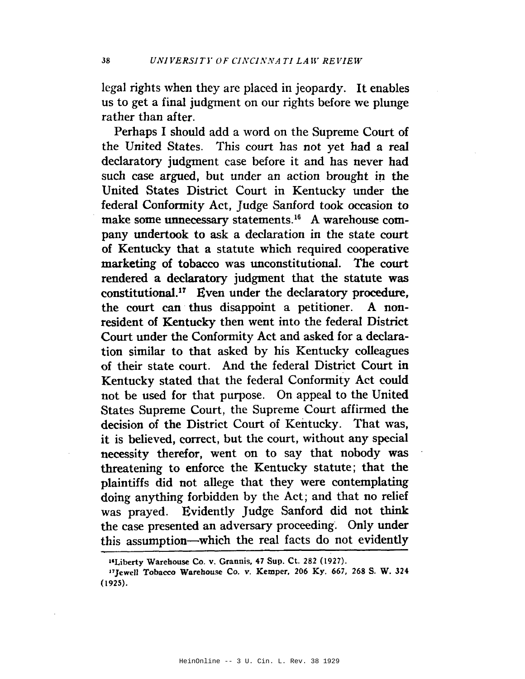legal rights when they are placed in jeopardy. It enables us to get a final judgment on our rights before we plunge rather than after.

Perhaps I should add a word on the Supreme Court of the United States. This court has not yet had a real declaratory judgment case before it and has never had such case argued, but under an action brought in the United States District Court in Kentucky under the federal Conformity Act, Judge Sanford took occasion to make some unnecessary statements.<sup>16</sup> A warehouse company undertook to ask a declaration in the state court of Kentucky that a statute which required cooperative marketing of tobacco was unconstitutional. The court rendered a declaratory judgment that the statute was constitutional.<sup>17</sup> Even under the declaratory procedure, the court can thus disappoint a petitioner. A nonresident of Kentucky then went into the federal District Court under the Conformity Act and asked for a declaration similar to that asked by his Kentucky colleagues of their state court. And the federal District Court in Kentucky stated that the federal Conformity Act could not be used for that purpose. On appeal to the United States Supreme Court, the Supreme Court affirmed the decision of the District Court of Kentucky. That was, it is believed, correct, but the court, without any special necessity therefor, went on to say that nobody was threatening to enforce the Kentucky statute; that the plaintiffs did not allege that they were contemplating doing anything forbidden by the Act; and that no relief was prayed. Evidently Judge Sanford did not think the case presented an adversary proceeding. Only under this assumption-which the real facts do not evidently

<sup>&</sup>lt;sup>14</sup>Liberty Warehouse Co. v. Grannis, 47 Sup. Ct. 282 (1927).

<sup>&</sup>lt;sup>17</sup>Jewell Tobacco Warehouse Co. v. Kemper, 206 Ky. 667, 268 S. W. 324  $(1925).$